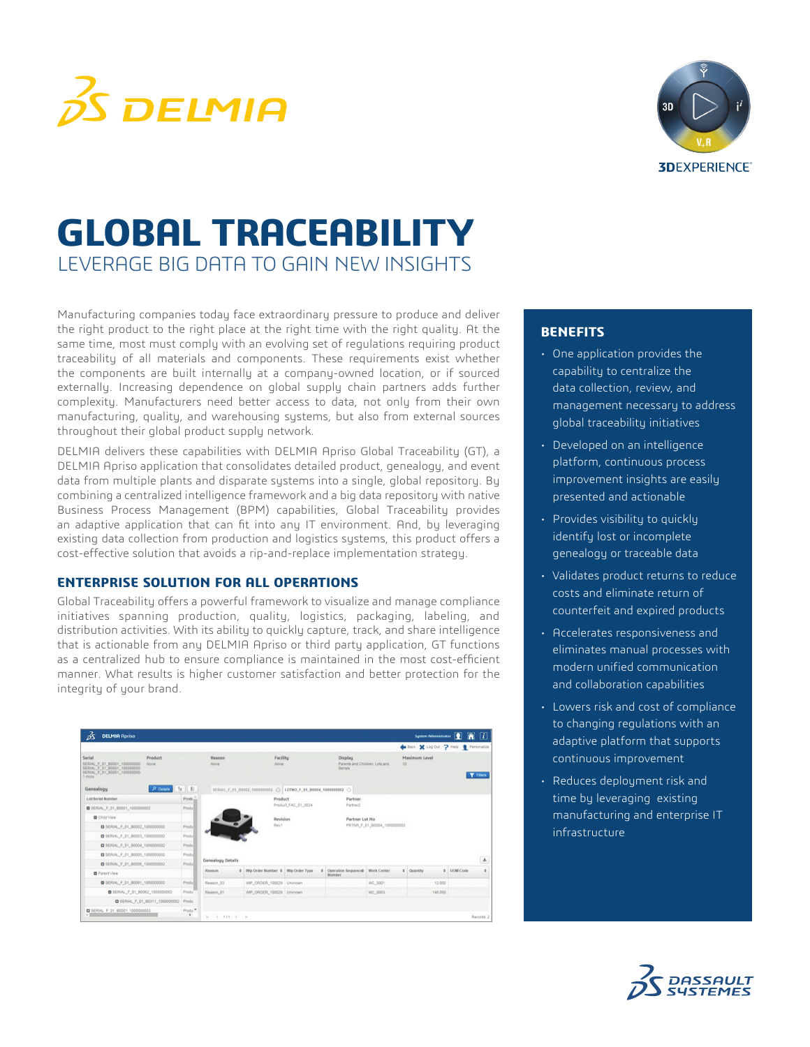



# LEVERAGE BIG DATA TO GAIN NEW INSIGHTS **GLOBAL TRACEABILITY**

Manufacturing companies today face extraordinary pressure to produce and deliver the right product to the right place at the right time with the right quality. At the same time, most must comply with an evolving set of regulations requiring product traceability of all materials and components. These requirements exist whether the components are built internally at a company-owned location, or if sourced externally. Increasing dependence on global supply chain partners adds further complexity. Manufacturers need better access to data, not only from their own manufacturing, quality, and warehousing systems, but also from external sources throughout their global product supply network.

DELMIA delivers these capabilities with DELMIA Apriso Global Traceability (GT), a DELMIA Apriso application that consolidates detailed product, genealogy, and event data from multiple plants and disparate systems into a single, global repository. By combining a centralized intelligence framework and a big data repository with native Business Process Management (BPM) capabilities, Global Traceability provides an adaptive application that can fit into any IT environment. And, by leveraging existing data collection from production and logistics systems, this product offers a cost-effective solution that avoids a rip-and-replace implementation strategy.

### **ENTERPRISE SOLUTION FOR ALL OPERATIONS**

Global Traceability offers a powerful framework to visualize and manage compliance initiatives spanning production, quality, logistics, packaging, labeling, and distribution activities. With its ability to quickly capture, track, and share intelligence that is actionable from any DELMIA Apriso or third party application, GT functions as a centralized hub to ensure compliance is maintained in the most cost-efficient manner. What results is higher customer satisfaction and better protection for the integrity of your brand.

| źς<br><b>DELMIA Apriso</b>                                                                                |                             |                       |                                     |                                                                                 |                                     |                             | System Administrator                |                   | $\overline{u}$<br>澝<br>п |
|-----------------------------------------------------------------------------------------------------------|-----------------------------|-----------------------|-------------------------------------|---------------------------------------------------------------------------------|-------------------------------------|-----------------------------|-------------------------------------|-------------------|--------------------------|
|                                                                                                           |                             |                       |                                     |                                                                                 |                                     |                             | Back X Log Out 7 Help & Personalize |                   |                          |
| Serial<br>Product<br>SERIAL F_01_B0001_100000000.<br><b>None</b><br>SERIAL F_01_B0001_100000000<br>1 mone |                             | Reason<br>None        |                                     | Facility<br>Display<br>Parents and Children, Lots and<br><b>None</b><br>Secials |                                     |                             | Maximum Level<br>10 <sub>1</sub>    |                   | T Fitters                |
| Genealogy                                                                                                 | <sup>O</sup> Details<br>h E |                       |                                     | SERIAL F 01 80002 100000002 (3 LOTNO F 01 80004 1000000002 (3                   |                                     |                             |                                     |                   |                          |
| <b>Lot/Serial Number</b><br>Produ <sub>m</sub>                                                            |                             |                       |                                     | Product                                                                         | Partner                             |                             |                                     |                   |                          |
| B SERIAL F_01_B0001_1000000002                                                                            | Produ                       |                       |                                     | Product_FAC_01_0024                                                             | Partner2                            |                             |                                     |                   |                          |
| Child View                                                                                                |                             |                       |                                     | Revision                                                                        |                                     | Partner Lot No.             |                                     |                   |                          |
| <b>B</b> SERIAL F 01 80002 1000000002                                                                     |                             |                       |                                     | RevT                                                                            |                                     | PRTNR F_01_B0004_1000000002 |                                     |                   |                          |
| <b>B</b> SERIAL F 01 80003_1000000002                                                                     | Produ                       |                       |                                     |                                                                                 |                                     |                             |                                     |                   |                          |
| 2 SERIAL F 01 B0004_1000000002                                                                            |                             |                       |                                     |                                                                                 |                                     |                             |                                     |                   |                          |
| Produ<br><b>D</b> SERIAL F_01_B0005_1000000002                                                            |                             |                       |                                     |                                                                                 |                                     |                             |                                     |                   |                          |
| <b>ED</b> SERIAL F 01 80006_1000000002                                                                    |                             | Genealogy Details     |                                     |                                                                                 |                                     |                             |                                     |                   | ٨                        |
| <b>B</b> Parent View                                                                                      |                             | Reason                | * Wip Order Number * Wip Order Type |                                                                                 | Operation Sequenced<br>٠<br>Number. | <b>Work Center</b>          | ٠<br>Quantity                       | <b>0</b> UCM Code |                          |
| B SERIAL F_01_80061_1000000002                                                                            | Produl                      | Reason 03             | WIP ORDER 100029 Uninoun            |                                                                                 |                                     | WC_0001                     |                                     | 12,000            |                          |
| SERIAL F 01 80062 1000000002                                                                              | Produ                       | Reason_01             | WIP_ORDER_100029 Unknown            |                                                                                 |                                     | WC_0003                     | 145,000                             |                   |                          |
| <b>E3</b> SERIAL F_01_80311_1000000002                                                                    | Produ                       |                       |                                     |                                                                                 |                                     |                             |                                     |                   |                          |
| <b>ED</b> SERIAL F 01 B0001 1000000003                                                                    | Produ <sup>1</sup>          | $H = 0.1112$ $> 0.11$ |                                     |                                                                                 |                                     |                             |                                     |                   | Records: 2               |

#### **BENEFITS**

- One application provides the capability to centralize the data collection, review, and management necessary to address global traceability initiatives
- Developed on an intelligence platform, continuous process improvement insights are easily presented and actionable
- Provides visibility to quickly identify lost or incomplete genealogy or traceable data
- Validates product returns to reduce costs and eliminate return of counterfeit and expired products
- Accelerates responsiveness and eliminates manual processes with modern unified communication and collaboration capabilities
- Lowers risk and cost of compliance to changing regulations with an adaptive platform that supports continuous improvement
- Reduces deployment risk and time by leveraging existing manufacturing and enterprise IT infrastructure